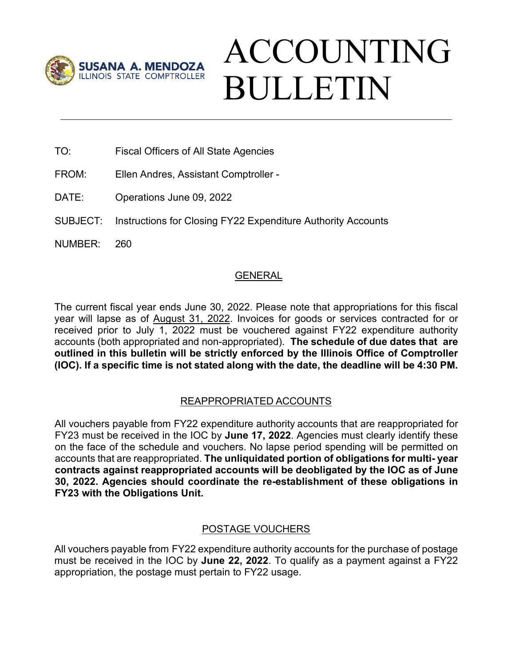

# ACCOUNTING BULLETIN

- TO: Fiscal Officers of All State Agencies
- FROM: Ellen Andres, Assistant Comptroller -
- DATE: Operations June 09, 2022
- SUBJECT: Instructions for Closing FY22 Expenditure Authority Accounts
- NUMBER: 260

## GENERAL

The current fiscal year ends June 30, 2022. Please note that appropriations for this fiscal year will lapse as of August 31, 2022. Invoices for goods or services contracted for or received prior to July 1, 2022 must be vouchered against FY22 expenditure authority accounts (both appropriated and non-appropriated). **The schedule of due dates that are outlined in this bulletin will be strictly enforced by the Illinois Office of Comptroller (IOC). If a specific time is not stated along with the date, the deadline will be 4:30 PM.**

# REAPPROPRIATED ACCOUNTS

All vouchers payable from FY22 expenditure authority accounts that are reappropriated for FY23 must be received in the IOC by **June 17, 2022**. Agencies must clearly identify these on the face of the schedule and vouchers. No lapse period spending will be permitted on accounts that are reappropriated. **The unliquidated portion of obligations for multi- year contracts against reappropriated accounts will be deobligated by the IOC as of June 30, 2022. Agencies should coordinate the re-establishment of these obligations in FY23 with the Obligations Unit.**

### POSTAGE VOUCHERS

All vouchers payable from FY22 expenditure authority accounts for the purchase of postage must be received in the IOC by **June 22, 2022**. To qualify as a payment against a FY22 appropriation, the postage must pertain to FY22 usage.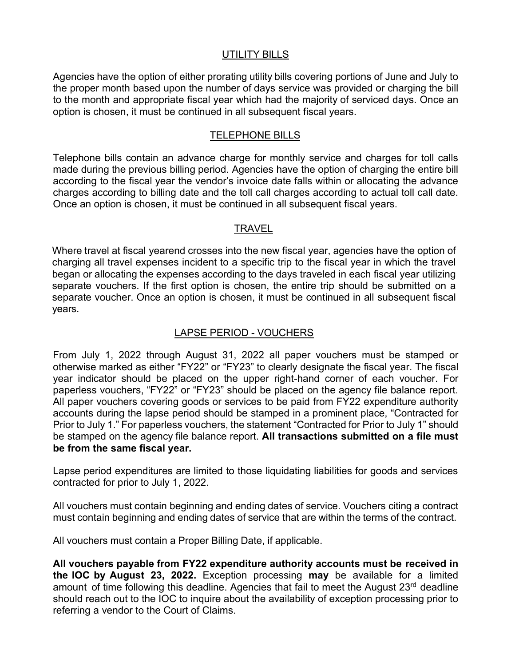#### UTILITY BILLS

Agencies have the option of either prorating utility bills covering portions of June and July to the proper month based upon the number of days service was provided or charging the bill to the month and appropriate fiscal year which had the majority of serviced days. Once an option is chosen, it must be continued in all subsequent fiscal years.

#### TELEPHONE BILLS

Telephone bills contain an advance charge for monthly service and charges for toll calls made during the previous billing period. Agencies have the option of charging the entire bill according to the fiscal year the vendor's invoice date falls within or allocating the advance charges according to billing date and the toll call charges according to actual toll call date. Once an option is chosen, it must be continued in all subsequent fiscal years.

## TRAVEL

Where travel at fiscal yearend crosses into the new fiscal year, agencies have the option of charging all travel expenses incident to a specific trip to the fiscal year in which the travel began or allocating the expenses according to the days traveled in each fiscal year utilizing separate vouchers. If the first option is chosen, the entire trip should be submitted on a separate voucher. Once an option is chosen, it must be continued in all subsequent fiscal years.

## LAPSE PERIOD - VOUCHERS

From July 1, 2022 through August 31, 2022 all paper vouchers must be stamped or otherwise marked as either "FY22" or "FY23" to clearly designate the fiscal year. The fiscal year indicator should be placed on the upper right-hand corner of each voucher. For paperless vouchers, "FY22" or "FY23" should be placed on the agency file balance report. All paper vouchers covering goods or services to be paid from FY22 expenditure authority accounts during the lapse period should be stamped in a prominent place, "Contracted for Prior to July 1." For paperless vouchers, the statement "Contracted for Prior to July 1" should be stamped on the agency file balance report. **All transactions submitted on a file must be from the same fiscal year.**

Lapse period expenditures are limited to those liquidating liabilities for goods and services contracted for prior to July 1, 2022.

All vouchers must contain beginning and ending dates of service. Vouchers citing a contract must contain beginning and ending dates of service that are within the terms of the contract.

All vouchers must contain a Proper Billing Date, if applicable.

**All vouchers payable from FY22 expenditure authority accounts must be received in the IOC by August 23, 2022.** Exception processing **may** be available for a limited amount of time following this deadline. Agencies that fail to meet the August 23<sup>rd</sup> deadline should reach out to the IOC to inquire about the availability of exception processing prior to referring a vendor to the Court of Claims.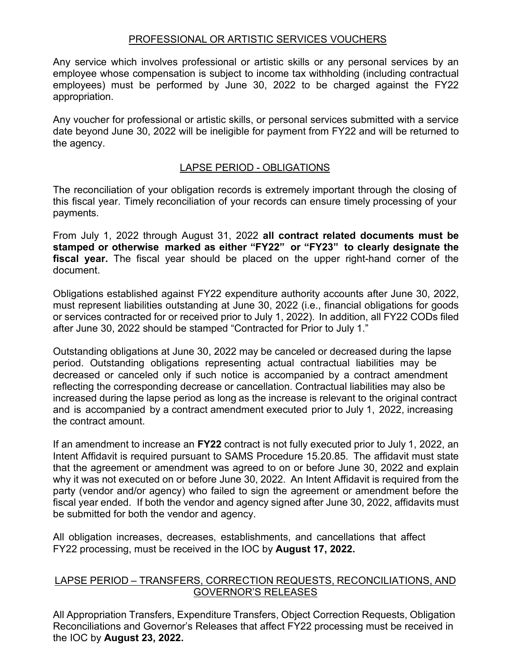#### PROFESSIONAL OR ARTISTIC SERVICES VOUCHERS

Any service which involves professional or artistic skills or any personal services by an employee whose compensation is subject to income tax withholding (including contractual employees) must be performed by June 30, 2022 to be charged against the FY22 appropriation.

Any voucher for professional or artistic skills, or personal services submitted with a service date beyond June 30, 2022 will be ineligible for payment from FY22 and will be returned to the agency.

#### LAPSE PERIOD - OBLIGATIONS

The reconciliation of your obligation records is extremely important through the closing of this fiscal year. Timely reconciliation of your records can ensure timely processing of your payments.

From July 1, 2022 through August 31, 2022 **all contract related documents must be stamped or otherwise marked as either "FY22" or "FY23" to clearly designate the fiscal year.** The fiscal year should be placed on the upper right-hand corner of the document.

Obligations established against FY22 expenditure authority accounts after June 30, 2022, must represent liabilities outstanding at June 30, 2022 (i.e., financial obligations for goods or services contracted for or received prior to July 1, 2022). In addition, all FY22 CODs filed after June 30, 2022 should be stamped "Contracted for Prior to July 1."

Outstanding obligations at June 30, 2022 may be canceled or decreased during the lapse period. Outstanding obligations representing actual contractual liabilities may be decreased or canceled only if such notice is accompanied by a contract amendment reflecting the corresponding decrease or cancellation. Contractual liabilities may also be increased during the lapse period as long as the increase is relevant to the original contract and is accompanied by a contract amendment executed prior to July 1, 2022, increasing the contract amount.

If an amendment to increase an **FY22** contract is not fully executed prior to July 1, 2022, an Intent Affidavit is required pursuant to SAMS Procedure 15.20.85. The affidavit must state that the agreement or amendment was agreed to on or before June 30, 2022 and explain why it was not executed on or before June 30, 2022. An Intent Affidavit is required from the party (vendor and/or agency) who failed to sign the agreement or amendment before the fiscal year ended. If both the vendor and agency signed after June 30, 2022, affidavits must be submitted for both the vendor and agency.

All obligation increases, decreases, establishments, and cancellations that affect FY22 processing, must be received in the IOC by **August 17, 2022.**

### LAPSE PERIOD – TRANSFERS, CORRECTION REQUESTS, RECONCILIATIONS, AND GOVERNOR'S RELEASES

All Appropriation Transfers, Expenditure Transfers, Object Correction Requests, Obligation Reconciliations and Governor's Releases that affect FY22 processing must be received in the IOC by **August 23, 2022.**